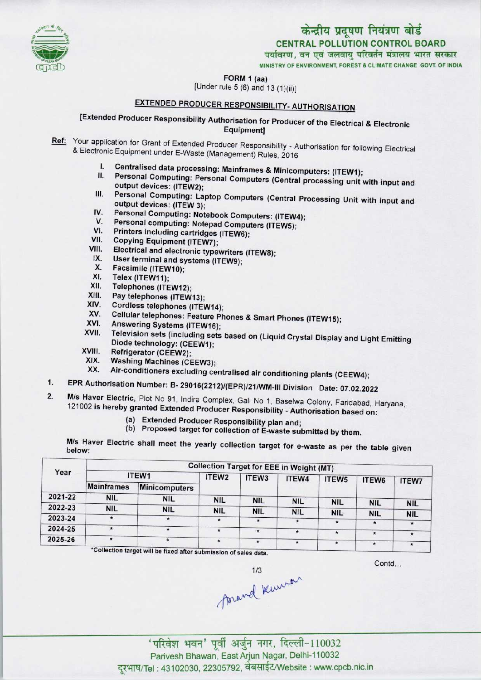

# केन्द्रीय प्रदूषण नियंत्रण बोर्ड CENTRAL POLLUTION CONTROL BOARD<br>पर्यावरण, वन एवं जलवायु परिवर्तन मंत्रालय भारत सरकार

MINISTRY OF ENVIRONMENT. FOREST & CLIMATE CHANGE GOVT. OF INDIA

FORM 1 (aa)

(Under rule 5 (6) and 13 (1)(ii)]

## EXTENDED PRODUCER RESPONSIBILITY- AUTHORISATION

### [Extended Producer Responsibility Authorisation for Producer of the Electrical & Electronic Equipment]

- Ref: Your application for Grant of Extended Producer Responsibility Authorisation for following Electrical & Electronic Equipment under E-Waste (Management) Rules, 2016
	- I. Centralised data processing: Mainframes & Minicomputers: (ITEW1);
	- Personal Computing: Personal Computers (Central processing unit with input and output devices: (ITEW2);
	- III. Personal Computing: Laptop Computers (Central Processing Unit with input and output devices: (ITEW 3); output devices: (ITEW 3);<br>V. Personal Computing: Notebook Computers: (ITEW<br>V. Personal computing: Notepad Computers (ITEW5);
	- IV. Personal Computing: Notebook Computers: (ITEW4);<br>V. Personal computing: Notenad Computers: (ITEW4); IV. Personal Computing: Notebook Comp<br>V. Personal computing: Notepad Compu<br>VI. Printers including cartridges (ITEW6);<br>/II. Conving Equipment (ITEWE);
	-
	- VI. Printers including cartridges (ITEW6);<br>VII. Copying Equipment (ITEW7);<br>VIII. Electrical and electronic typewriters (I
	-
	- VI. Printers including cartridges (ITEW6);<br>VII. Copying Equipment (ITEW7);<br>VIII. Electrical and electronic typewriters (ITEW8); VII. Copying Equipment (ITEW7);<br>III. Electrical and electronic typewriters<br>IX. User terminal and systems (ITEW9);
	- IX. User terminal and systems (ITEW9);<br>X. Facsimile (ITEW10);<br>XI. Telex (ITEW11);
	-
	- XI. Telex (ITEW11);<br>XII. Telephones (ITE
	- XII. Telephones (ITEW12);<br>XIII. Pav telephones (ITEW)
	- XIII. Pay telephones (ITEW13);<br>XIV. Cordiess telephones (ITEN
	- XIV. Cordless telephones (ITEW14);<br>XV. Cellular telephones: Feature Ph
	- XIV. Cordiess telephones (ITEW14);<br>XV. Cellular telephones: Feature Phones & Smart Phones (ITEW15);<br>XVI. Answering Systems (ITEW16);
	-
	- XV. Cellular telephones: Feature Phones & Smart Phones (ITEW15);<br>XVI. Answering Systems (ITEW16);<br>XVII. Television sets (including sets based on (Liquid Crystal Display and Light Emitting Diode technology: (CEEW1);<br>Refrigerator (CEEW2); XVII. Television sets (include<br>Diode technology: (CI<br>XVIII. Refrigerator (CEEW2);<br>XIX. Mashina Mashine
	-
	- XIX. Washing Machines (CEEW3);<br>XX. Air-conditioners excluding co
	- Air-conditioners excluding centralised air conditioning plants (CEEW4);
- 1. EPR Authorisation Number: B- 29016(2212)/(EPR)/21/WM-III Division Date: 07.02.2022
- M/s Haver Electric, Plot No 91, Indira Complex, Gali No 1, Baselwa Colony, Faridabad, Haryana, 121002 is hereby granted Extended Producer Responsibility - Authorisation based on:
	- (a)Extended Producer Responsibility plan and;
	- (b) Proposed target for collection of E-waste submitted by them.

M/s Haver Electric shall meet the yearly collection target for e-waste as per the table given below:

|         | <b>Collection Target for EEE in Weight (MT)</b> |                                                           |                   |            |            |                   |            |            |  |  |
|---------|-------------------------------------------------|-----------------------------------------------------------|-------------------|------------|------------|-------------------|------------|------------|--|--|
| Year    |                                                 | ITEW1                                                     | ITEW <sub>2</sub> | ITEW3      | ITEW4      | ITEW <sub>5</sub> | ITEW6      | ITEW7      |  |  |
|         | <b>Mainframes</b>                               | <b>Minicomputers</b>                                      |                   |            |            |                   |            |            |  |  |
| 2021-22 | <b>NIL</b>                                      | <b>NIL</b>                                                | <b>NIL</b>        | <b>NIL</b> | <b>NIL</b> | <b>NIL</b>        | <b>NIL</b> |            |  |  |
| 2022-23 | <b>NIL</b>                                      | <b>NIL</b>                                                | <b>NIL</b>        | <b>NIL</b> | <b>NIL</b> | <b>NIL</b>        | <b>NIL</b> | <b>NIL</b> |  |  |
| 2023-24 | $\mathcal{R}$                                   | $\pmb{\ast}$                                              |                   | $\bullet$  | $\star$    |                   | $\star$    | <b>NIL</b> |  |  |
| 2024-25 | $\star$                                         | $\star$                                                   |                   | ★          | $\star$    | $\star$           | $\star$    |            |  |  |
| 2025-26 | $\star$                                         | $\star$                                                   |                   | $\star$    | $\star$    | $\star$           | $\star$    |            |  |  |
|         |                                                 | $\mathbf{10}$ allocations are associated to $\mathbf{10}$ |                   |            |            |                   |            |            |  |  |

ollection target will be fixed after submission of sales data.

Contd

foravel known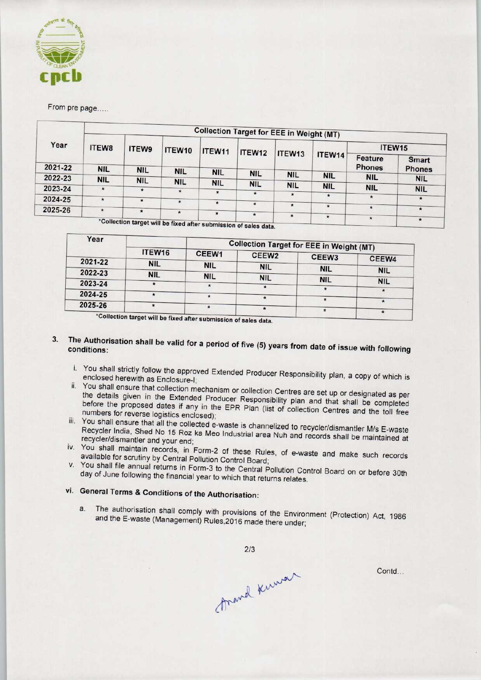

#### From pre page.....

| Year    | <b>Collection Target for EEE in Weight (MT)</b> |            |                                                                 |            |            |            |               |               |               |  |  |
|---------|-------------------------------------------------|------------|-----------------------------------------------------------------|------------|------------|------------|---------------|---------------|---------------|--|--|
|         | ITEW8                                           | ITEW9      | ITEW10                                                          | ITEW11     | ITEW12     |            |               | ITEW15        |               |  |  |
|         |                                                 |            |                                                                 |            |            | ITEW13     | ITEW14        | Feature       | <b>Smart</b>  |  |  |
| 2021-22 | <b>NIL</b>                                      | <b>NIL</b> | <b>NIL</b>                                                      | <b>NIL</b> | <b>NIL</b> |            |               | <b>Phones</b> | <b>Phones</b> |  |  |
| 2022-23 | <b>NIL</b>                                      | <b>NIL</b> |                                                                 |            |            | <b>NIL</b> | <b>NIL</b>    | <b>NIL</b>    | <b>NIL</b>    |  |  |
| 2023-24 |                                                 |            | <b>NIL</b>                                                      | <b>NIL</b> | <b>NIL</b> | <b>NIL</b> | <b>NIL</b>    | <b>NIL</b>    |               |  |  |
|         | $\star$                                         | $\star$    | $\star$                                                         | $\star$    | $\star$    | $\star$    |               |               | <b>NIL</b>    |  |  |
| 2024-25 | $\star$                                         | $\star$    | $\star$                                                         |            |            |            | $\star$       | $\star$       | $\star$       |  |  |
|         |                                                 |            |                                                                 | $\star$    | $\star$    | $\star$    | $\star$       | $\star$       |               |  |  |
| 2025-26 | $\star$                                         | $\star$    | $\star$                                                         | $\star$    | $\star$    |            |               |               | $\star$       |  |  |
|         |                                                 |            | *Collection target will be fixed after submission of sales data |            |            | $\star$    | $\pmb{\star}$ | $\star$       | $\star$       |  |  |

bmission of sales data. be fixed afte

| ITEW16     | CEEW1      |                          |                                                                                                                  |                                                                                                  |  |  |
|------------|------------|--------------------------|------------------------------------------------------------------------------------------------------------------|--------------------------------------------------------------------------------------------------|--|--|
| <b>NIL</b> |            |                          |                                                                                                                  | CEEW4                                                                                            |  |  |
|            |            |                          |                                                                                                                  | <b>NIL</b>                                                                                       |  |  |
|            |            |                          |                                                                                                                  | <b>NIL</b>                                                                                       |  |  |
|            |            |                          | $\star$                                                                                                          |                                                                                                  |  |  |
|            |            |                          |                                                                                                                  |                                                                                                  |  |  |
|            |            |                          |                                                                                                                  |                                                                                                  |  |  |
|            | <b>NIL</b> | <b>NIL</b><br><b>NIL</b> | CEEW <sub>2</sub><br><b>NIL</b><br><b>NIL</b><br>*Collection target will be fixed after submission of sales data | <b>Collection Target for EEE in Weight (MT)</b><br>CEEW <sub>3</sub><br><b>NIL</b><br><b>NIL</b> |  |  |

### 3. The Authorisation shall be valid for a period of five (5) years from date of its subscriber of the second with following the following with formula and the second with formula with formula with formula with formula with conditions:

- i. You shall strictly follow the approved Extended Producer Responsibility plan, a copy of which is enclosed herewith as Enclosure-I;
- ii. You shall ensure that collection mechanism or collection Centres are set up or designated as per the details given in the Extended Producer Responsibility plan and that shall be completed before the proposed dates if any in the EPR Plan (list of collection Centres and the toll free numbers for reverse logistics enclosed);
- iii. You shall ensure that all the collected e-waste is channelized to recycle M/s E-waster Recycler India, Shed No 15 Roz ka Meo Industrial area Nuh and recycler/dismantler M/s E-waste Recycler India, Shed No 15 Roz ka Meo Industrial area Nuh and records shall be maintained at recycler/dismantler and your end;
- iv. You shall maintain records, in Form-2 of these Rules, of e-waste and make such records available for scrutiny by Central Pollution Control Board;
- v. You shall file annual returns in Form-3 to the Central Pollution Control Board on or before 30th day of June following the financial year to which that returns relates.

## vi. General Terms & Conditions of the Authorisation:

a. The authorisation shall comply with provisions of the Environment (Protection) Act, 1986 and the E-waste (Management) Rules,2016 made there under;

 $2/3$ 

thank knowar

Contd...